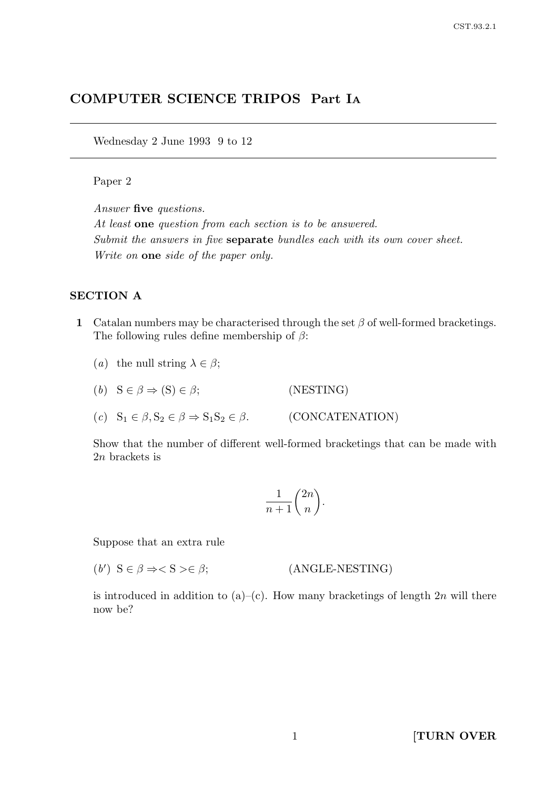# COMPUTER SCIENCE TRIPOS Part I<sup>A</sup>

Wednesday 2 June 1993 9 to 12

#### Paper 2

Answer five questions. At least one question from each section is to be answered. Submit the answers in five **separate** bundles each with its own cover sheet. Write on one side of the paper only.

### SECTION A

- 1 Catalan numbers may be characterised through the set  $\beta$  of well-formed bracketings. The following rules define membership of  $\beta$ :
	- (a) the null string  $\lambda \in \beta$ ;
	- (b)  $S \in \beta \Rightarrow (S) \in \beta$ ; (NESTING)
	- (c)  $S_1 \in \beta, S_2 \in \beta \Rightarrow S_1S_2 \in \beta.$  (CONCATENATION)

Show that the number of different well-formed bracketings that can be made with 2n brackets is

$$
\frac{1}{n+1}\binom{2n}{n}.
$$

Suppose that an extra rule

 $(b^{\prime}% )^{A\rightarrow B}=\sqrt{b^{\prime\prime}b^{\prime\prime}b^{\prime\prime}}$  $(ANGLE-NESTING)$ 

is introduced in addition to (a)–(c). How many bracketings of length  $2n$  will there now be?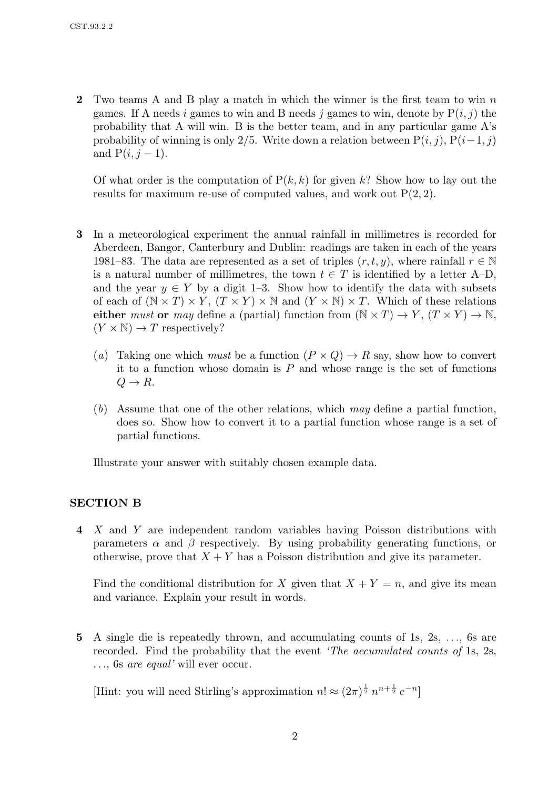2 Two teams A and B play a match in which the winner is the first team to win  $n$ games. If A needs i games to win and B needs j games to win, denote by  $P(i, j)$  the probability that A will win. B is the better team, and in any particular game A's probability of winning is only 2/5. Write down a relation between  $P(i, j)$ ,  $P(i-1, j)$ and  $P(i, j - 1)$ .

Of what order is the computation of  $P(k, k)$  for given k? Show how to lay out the results for maximum re-use of computed values, and work out  $P(2, 2)$ .

- 3 In a meteorological experiment the annual rainfall in millimetres is recorded for Aberdeen, Bangor, Canterbury and Dublin: readings are taken in each of the years 1981–83. The data are represented as a set of triples  $(r, t, y)$ , where rainfall  $r \in \mathbb{N}$ is a natural number of millimetres, the town  $t \in T$  is identified by a letter A–D, and the year  $y \in Y$  by a digit 1–3. Show how to identify the data with subsets of each of  $(N \times T) \times Y$ ,  $(T \times Y) \times N$  and  $(Y \times N) \times T$ . Which of these relations either must or may define a (partial) function from  $(N \times T) \rightarrow Y$ ,  $(T \times Y) \rightarrow N$ ,  $(Y \times N) \rightarrow T$  respectively?
	- (a) Taking one which *must* be a function  $(P \times Q) \rightarrow R$  say, show how to convert it to a function whose domain is  $P$  and whose range is the set of functions  $Q \to R$ .
	- (b) Assume that one of the other relations, which may define a partial function, does so. Show how to convert it to a partial function whose range is a set of partial functions.

Illustrate your answer with suitably chosen example data.

## SECTION B

4 X and Y are independent random variables having Poisson distributions with parameters  $\alpha$  and  $\beta$  respectively. By using probability generating functions, or otherwise, prove that  $X + Y$  has a Poisson distribution and give its parameter.

Find the conditional distribution for X given that  $X + Y = n$ , and give its mean and variance. Explain your result in words.

5 A single die is repeatedly thrown, and accumulating counts of 1s, 2s, . . ., 6s are recorded. Find the probability that the event *The accumulated counts of* 1s, 2s, ..., 6s are equal' will ever occur.

[Hint: you will need Stirling's approximation  $n! \approx (2\pi)^{\frac{1}{2}} n^{n+\frac{1}{2}} e^{-n}$ ]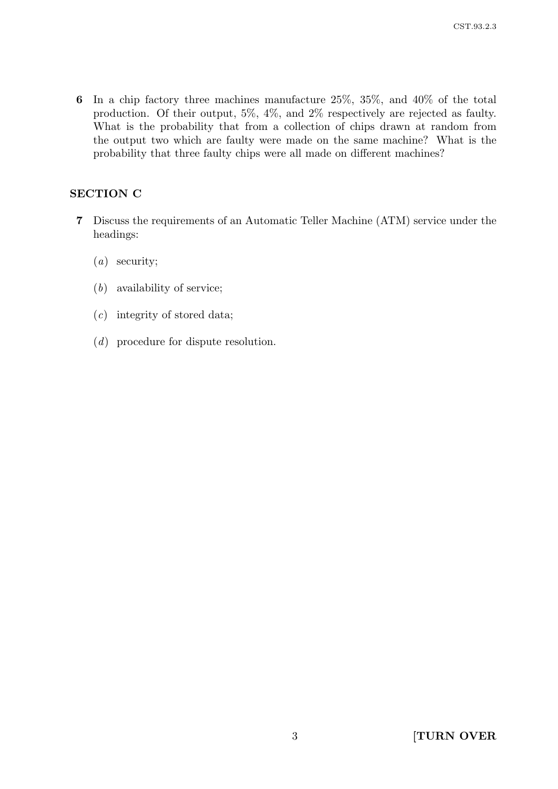6 In a chip factory three machines manufacture 25%, 35%, and 40% of the total production. Of their output, 5%, 4%, and 2% respectively are rejected as faulty. What is the probability that from a collection of chips drawn at random from the output two which are faulty were made on the same machine? What is the probability that three faulty chips were all made on different machines?

## SECTION C

- 7 Discuss the requirements of an Automatic Teller Machine (ATM) service under the headings:
	- (a) security;
	- (b) availability of service;
	- $(c)$  integrity of stored data;
	- (d) procedure for dispute resolution.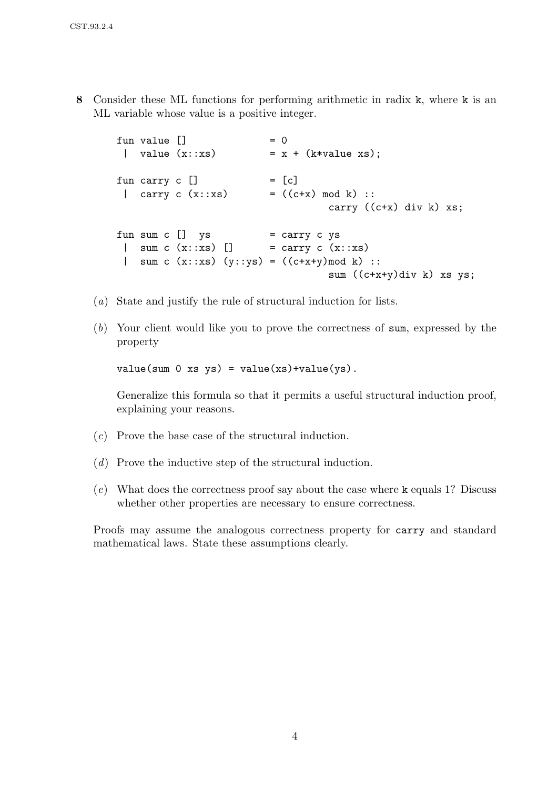8 Consider these ML functions for performing arithmetic in radix k, where k is an ML variable whose value is a positive integer.

```
fun value [] = 0| value (x::xs) = x + (k*value xs);fun carry c [] = [c]\int \text{carry } c(x::xs) = ((c+x) \text{ mod } k) ::carry ((c+x) div k) xs;
fun sum c \begin{bmatrix} 1 \\ 9 \end{bmatrix} ys \begin{aligned} \begin{bmatrix} 1 \\ 1 \end{bmatrix} = \text{carry } c \end{aligned}| sum c (x::xs) [] = carry c (x::xs)| sum c (x::xs) (y::ys) = ((c+x+y) \mod k) ::sum ((c+x+y)div k) xs ys;
```
- (a) State and justify the rule of structural induction for lists.
- (b) Your client would like you to prove the correctness of sum, expressed by the property

 $value(sum 0 xs ys) = value(xs) + value(ys)$ .

Generalize this formula so that it permits a useful structural induction proof, explaining your reasons.

- (c) Prove the base case of the structural induction.
- (d) Prove the inductive step of the structural induction.
- (e) What does the correctness proof say about the case where k equals 1? Discuss whether other properties are necessary to ensure correctness.

Proofs may assume the analogous correctness property for carry and standard mathematical laws. State these assumptions clearly.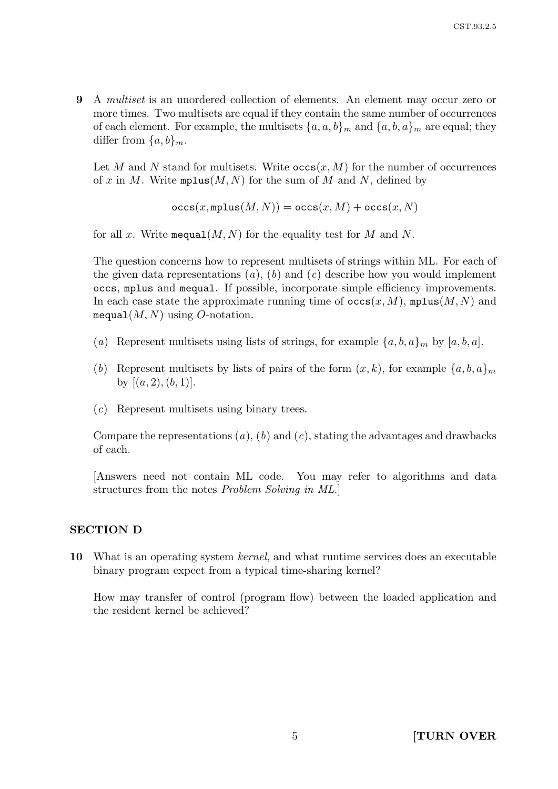9 A multiset is an unordered collection of elements. An element may occur zero or more times. Two multisets are equal if they contain the same number of occurrences of each element. For example, the multisets  $\{a, a, b\}_m$  and  $\{a, b, a\}_m$  are equal; they differ from  $\{a, b\}_m$ .

Let M and N stand for multisets. Write  $\operatorname{occs}(x, M)$  for the number of occurrences of x in M. Write  $mplus(M, N)$  for the sum of M and N, defined by

 $\operatorname{occs}(x, \operatorname{mplus}(M, N)) = \operatorname{occs}(x, M) + \operatorname{occs}(x, N)$ 

for all x. Write mequal $(M, N)$  for the equality test for M and N.

The question concerns how to represent multisets of strings within ML. For each of the given data representations  $(a)$ ,  $(b)$  and  $(c)$  describe how you would implement occs, mplus and mequal. If possible, incorporate simple efficiency improvements. In each case state the approximate running time of  $\operatorname{occs}(x, M)$ , mplus $(M, N)$  and mequal $(M, N)$  using O-notation.

- (a) Represent multisets using lists of strings, for example  $\{a, b, a\}_m$  by  $[a, b, a]$ .
- (b) Represent multisets by lists of pairs of the form  $(x, k)$ , for example  $\{a, b, a\}_m$ by  $[(a, 2), (b, 1)].$
- (c) Represent multisets using binary trees.

Compare the representations  $(a)$ ,  $(b)$  and  $(c)$ , stating the advantages and drawbacks of each.

[Answers need not contain ML code. You may refer to algorithms and data structures from the notes Problem Solving in ML.]

### SECTION D

10 What is an operating system kernel, and what runtime services does an executable binary program expect from a typical time-sharing kernel?

How may transfer of control (program flow) between the loaded application and the resident kernel be achieved?